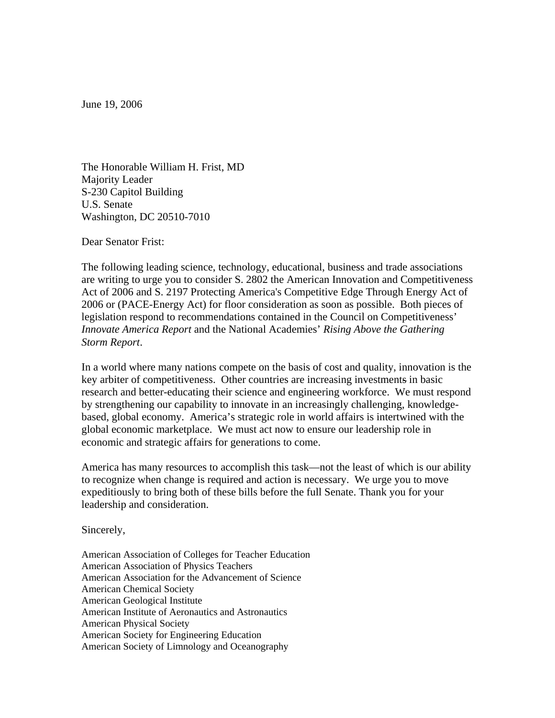June 19, 2006

The Honorable William H. Frist, MD Majority Leader S-230 Capitol Building U.S. Senate Washington, DC 20510-7010

Dear Senator Frist:

The following leading science, technology, educational, business and trade associations are writing to urge you to consider S. 2802 the American Innovation and Competitiveness Act of 2006 and S. 2197 Protecting America's Competitive Edge Through Energy Act of 2006 or (PACE-Energy Act) for floor consideration as soon as possible. Both pieces of legislation respond to recommendations contained in the Council on Competitiveness' *Innovate America Report* and the National Academies' *Rising Above the Gathering Storm Report*.

In a world where many nations compete on the basis of cost and quality, innovation is the key arbiter of competitiveness. Other countries are increasing investments in basic research and better-educating their science and engineering workforce. We must respond by strengthening our capability to innovate in an increasingly challenging, knowledgebased, global economy. America's strategic role in world affairs is intertwined with the global economic marketplace. We must act now to ensure our leadership role in economic and strategic affairs for generations to come.

America has many resources to accomplish this task—not the least of which is our ability to recognize when change is required and action is necessary. We urge you to move expeditiously to bring both of these bills before the full Senate. Thank you for your leadership and consideration.

Sincerely,

American Association of Colleges for Teacher Education American Association of Physics Teachers American Association for the Advancement of Science American Chemical Society American Geological Institute American Institute of Aeronautics and Astronautics American Physical Society American Society for Engineering Education American Society of Limnology and Oceanography